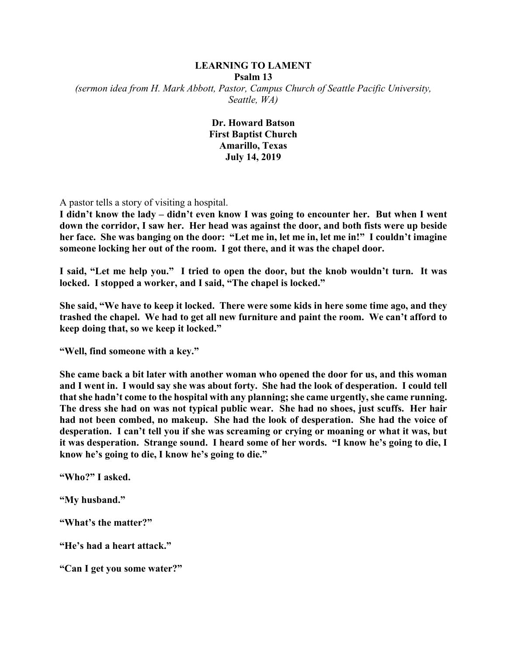#### **LEARNING TO LAMENT Psalm 13** *(sermon idea from H. Mark Abbott, Pastor, Campus Church of Seattle Pacific University, Seattle, WA)*

**Dr. Howard Batson First Baptist Church Amarillo, Texas July 14, 2019**

A pastor tells a story of visiting a hospital.

**I didn't know the lady – didn't even know I was going to encounter her. But when I went down the corridor, I saw her. Her head was against the door, and both fists were up beside her face. She was banging on the door: "Let me in, let me in, let me in!" I couldn't imagine someone locking her out of the room. I got there, and it was the chapel door.**

**I said, "Let me help you." I tried to open the door, but the knob wouldn't turn. It was locked. I stopped a worker, and I said, "The chapel is locked."**

**She said, "We have to keep it locked. There were some kids in here some time ago, and they trashed the chapel. We had to get all new furniture and paint the room. We can't afford to keep doing that, so we keep it locked."**

**"Well, find someone with a key."**

**She came back a bit later with another woman who opened the door for us, and this woman and I went in. I would say she was about forty. She had the look of desperation. I could tell that she hadn't come to the hospital with any planning; she came urgently, she came running. The dress she had on was not typical public wear. She had no shoes, just scuffs. Her hair had not been combed, no makeup. She had the look of desperation. She had the voice of desperation. I can't tell you if she was screaming or crying or moaning or what it was, but it was desperation. Strange sound. I heard some of her words. "I know he's going to die, I know he's going to die, I know he's going to die."**

**"Who?" I asked.**

**"My husband."**

**"What's the matter?"**

**"He's had a heart attack."**

**"Can I get you some water?"**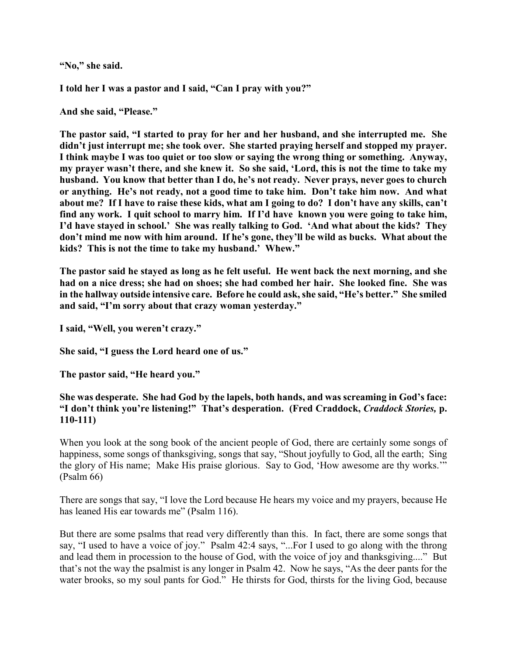**"No," she said.**

**I told her I was a pastor and I said, "Can I pray with you?"**

**And she said, "Please."**

**The pastor said, "I started to pray for her and her husband, and she interrupted me. She didn't just interrupt me; she took over. She started praying herself and stopped my prayer. I think maybe I was too quiet or too slow or saying the wrong thing or something. Anyway, my prayer wasn't there, and she knew it. So she said, 'Lord, this is not the time to take my husband. You know that better than I do, he's not ready. Never prays, never goes to church or anything. He's not ready, not a good time to take him. Don't take him now. And what about me? If I have to raise these kids, what am I going to do? I don't have any skills, can't find any work. I quit school to marry him. If I'd have known you were going to take him, I'd have stayed in school.' She was really talking to God. 'And what about the kids? They don't mind me now with him around. If he's gone, they'll be wild as bucks. What about the kids? This is not the time to take my husband.' Whew."**

**The pastor said he stayed as long as he felt useful. He went back the next morning, and she had on a nice dress; she had on shoes; she had combed her hair. She looked fine. She was in the hallway outside intensive care. Before he could ask, she said, "He's better." She smiled and said, "I'm sorry about that crazy woman yesterday."**

**I said, "Well, you weren't crazy."**

**She said, "I guess the Lord heard one of us."**

**The pastor said, "He heard you."**

## **She was desperate. She had God by the lapels, both hands, and was screaming in God's face: "I don't think you're listening!" That's desperation. (Fred Craddock,** *Craddock Stories,* **p. 110-111)**

When you look at the song book of the ancient people of God, there are certainly some songs of happiness, some songs of thanksgiving, songs that say, "Shout joyfully to God, all the earth; Sing the glory of His name; Make His praise glorious. Say to God, 'How awesome are thy works.'" (Psalm 66)

There are songs that say, "I love the Lord because He hears my voice and my prayers, because He has leaned His ear towards me" (Psalm 116).

But there are some psalms that read very differently than this. In fact, there are some songs that say, "I used to have a voice of joy." Psalm 42:4 says, "...For I used to go along with the throng and lead them in procession to the house of God, with the voice of joy and thanksgiving...." But that's not the way the psalmist is any longer in Psalm 42. Now he says, "As the deer pants for the water brooks, so my soul pants for God." He thirsts for God, thirsts for the living God, because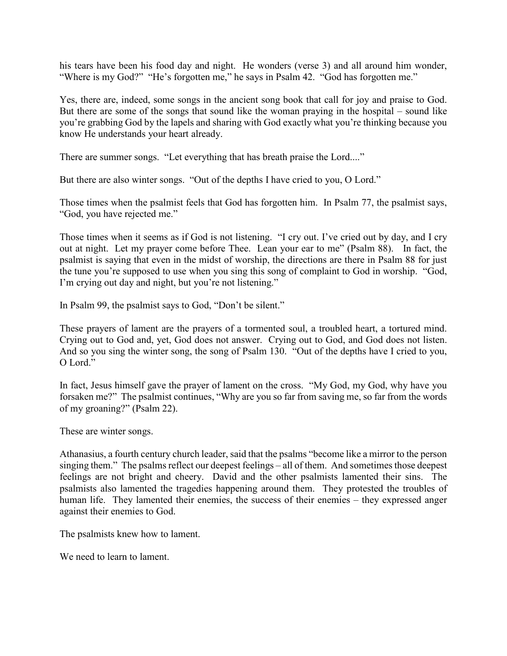his tears have been his food day and night. He wonders (verse 3) and all around him wonder, "Where is my God?" "He's forgotten me," he says in Psalm 42. "God has forgotten me."

Yes, there are, indeed, some songs in the ancient song book that call for joy and praise to God. But there are some of the songs that sound like the woman praying in the hospital – sound like you're grabbing God by the lapels and sharing with God exactly what you're thinking because you know He understands your heart already.

There are summer songs. "Let everything that has breath praise the Lord...."

But there are also winter songs. "Out of the depths I have cried to you, O Lord."

Those times when the psalmist feels that God has forgotten him. In Psalm 77, the psalmist says, "God, you have rejected me."

Those times when it seems as if God is not listening. "I cry out. I've cried out by day, and I cry out at night. Let my prayer come before Thee. Lean your ear to me" (Psalm 88). In fact, the psalmist is saying that even in the midst of worship, the directions are there in Psalm 88 for just the tune you're supposed to use when you sing this song of complaint to God in worship. "God, I'm crying out day and night, but you're not listening."

In Psalm 99, the psalmist says to God, "Don't be silent."

These prayers of lament are the prayers of a tormented soul, a troubled heart, a tortured mind. Crying out to God and, yet, God does not answer. Crying out to God, and God does not listen. And so you sing the winter song, the song of Psalm 130. "Out of the depths have I cried to you, O Lord."

In fact, Jesus himself gave the prayer of lament on the cross. "My God, my God, why have you forsaken me?" The psalmist continues, "Why are you so far from saving me, so far from the words of my groaning?" (Psalm 22).

These are winter songs.

Athanasius, a fourth century church leader, said that the psalms "become like a mirror to the person singing them." The psalms reflect our deepest feelings – all of them. And sometimes those deepest feelings are not bright and cheery. David and the other psalmists lamented their sins. The psalmists also lamented the tragedies happening around them. They protested the troubles of human life. They lamented their enemies, the success of their enemies – they expressed anger against their enemies to God.

The psalmists knew how to lament.

We need to learn to lament.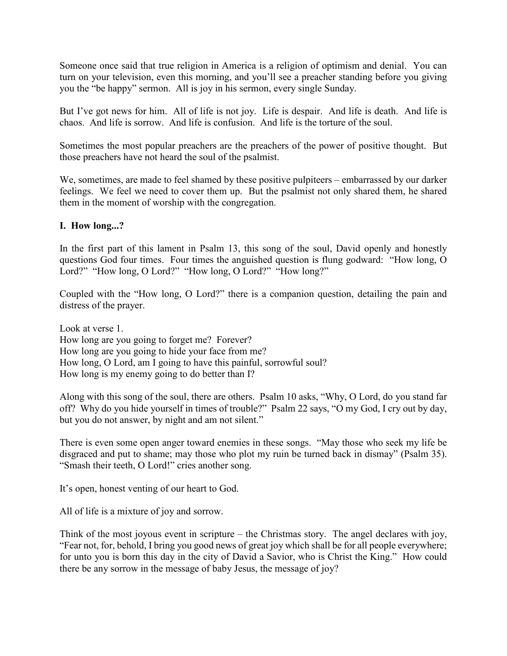Someone once said that true religion in America is a religion of optimism and denial. You can turn on your television, even this morning, and you'll see a preacher standing before you giving you the "be happy" sermon. All is joy in his sermon, every single Sunday.

But I've got news for him. All of life is not joy. Life is despair. And life is death. And life is chaos. And life is sorrow. And life is confusion. And life is the torture of the soul.

Sometimes the most popular preachers are the preachers of the power of positive thought. But those preachers have not heard the soul of the psalmist.

We, sometimes, are made to feel shamed by these positive pulpiteers – embarrassed by our darker feelings. We feel we need to cover them up. But the psalmist not only shared them, he shared them in the moment of worship with the congregation.

# **I. How long...?**

In the first part of this lament in Psalm 13, this song of the soul, David openly and honestly questions God four times. Four times the anguished question is flung godward: "How long, O Lord?" "How long, O Lord?" "How long, O Lord?" "How long?"

Coupled with the "How long, O Lord?" there is a companion question, detailing the pain and distress of the prayer.

Look at verse 1. How long are you going to forget me? Forever? How long are you going to hide your face from me? How long, O Lord, am I going to have this painful, sorrowful soul? How long is my enemy going to do better than I?

Along with this song of the soul, there are others. Psalm 10 asks, "Why, O Lord, do you stand far off? Why do you hide yourself in times of trouble?" Psalm 22 says, "O my God, I cry out by day, but you do not answer, by night and am not silent."

There is even some open anger toward enemies in these songs. "May those who seek my life be disgraced and put to shame; may those who plot my ruin be turned back in dismay" (Psalm 35). "Smash their teeth, O Lord!" cries another song.

It's open, honest venting of our heart to God.

All of life is a mixture of joy and sorrow.

Think of the most joyous event in scripture – the Christmas story. The angel declares with joy, "Fear not, for, behold, I bring you good news of great joy which shall be for all people everywhere; for unto you is born this day in the city of David a Savior, who is Christ the King." How could there be any sorrow in the message of baby Jesus, the message of joy?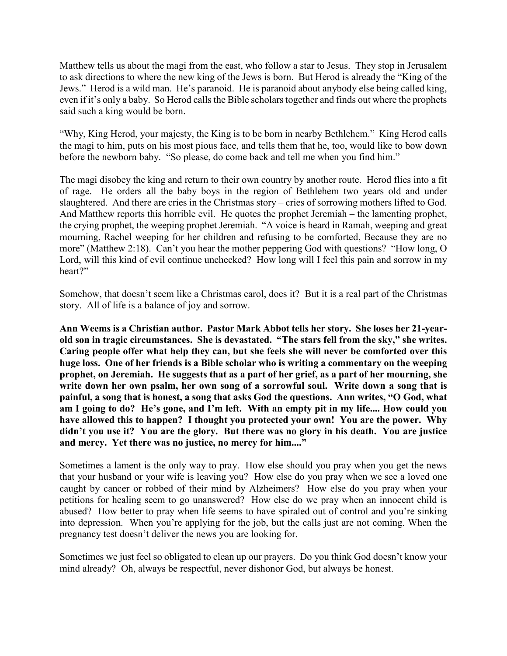Matthew tells us about the magi from the east, who follow a star to Jesus. They stop in Jerusalem to ask directions to where the new king of the Jews is born. But Herod is already the "King of the Jews." Herod is a wild man. He's paranoid. He is paranoid about anybody else being called king, even if it's only a baby. So Herod calls the Bible scholars together and finds out where the prophets said such a king would be born.

"Why, King Herod, your majesty, the King is to be born in nearby Bethlehem." King Herod calls the magi to him, puts on his most pious face, and tells them that he, too, would like to bow down before the newborn baby. "So please, do come back and tell me when you find him."

The magi disobey the king and return to their own country by another route. Herod flies into a fit of rage. He orders all the baby boys in the region of Bethlehem two years old and under slaughtered. And there are cries in the Christmas story – cries of sorrowing mothers lifted to God. And Matthew reports this horrible evil. He quotes the prophet Jeremiah – the lamenting prophet, the crying prophet, the weeping prophet Jeremiah. "A voice is heard in Ramah, weeping and great mourning, Rachel weeping for her children and refusing to be comforted, Because they are no more" (Matthew 2:18). Can't you hear the mother peppering God with questions? "How long, O Lord, will this kind of evil continue unchecked? How long will I feel this pain and sorrow in my heart?"

Somehow, that doesn't seem like a Christmas carol, does it? But it is a real part of the Christmas story. All of life is a balance of joy and sorrow.

**Ann Weems is a Christian author. Pastor Mark Abbot tells her story. She loses her 21-yearold son in tragic circumstances. She is devastated. "The stars fell from the sky," she writes. Caring people offer what help they can, but she feels she will never be comforted over this huge loss. One of her friends is a Bible scholar who is writing a commentary on the weeping prophet, on Jeremiah. He suggests that as a part of her grief, as a part of her mourning, she write down her own psalm, her own song of a sorrowful soul. Write down a song that is painful, a song that is honest, a song that asks God the questions. Ann writes, "O God, what am I going to do? He's gone, and I'm left. With an empty pit in my life.... How could you have allowed this to happen? I thought you protected your own! You are the power. Why didn't you use it? You are the glory. But there was no glory in his death. You are justice and mercy. Yet there was no justice, no mercy for him...."**

Sometimes a lament is the only way to pray. How else should you pray when you get the news that your husband or your wife is leaving you? How else do you pray when we see a loved one caught by cancer or robbed of their mind by Alzheimers? How else do you pray when your petitions for healing seem to go unanswered? How else do we pray when an innocent child is abused? How better to pray when life seems to have spiraled out of control and you're sinking into depression. When you're applying for the job, but the calls just are not coming. When the pregnancy test doesn't deliver the news you are looking for.

Sometimes we just feel so obligated to clean up our prayers. Do you think God doesn't know your mind already? Oh, always be respectful, never dishonor God, but always be honest.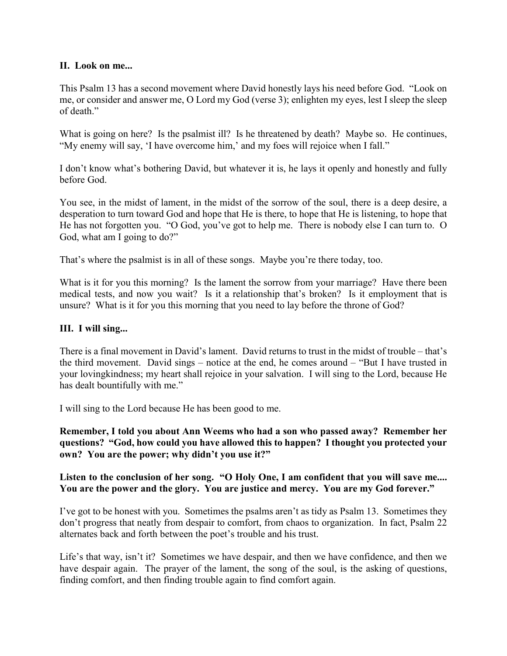### **II. Look on me...**

This Psalm 13 has a second movement where David honestly lays his need before God. "Look on me, or consider and answer me, O Lord my God (verse 3); enlighten my eyes, lest I sleep the sleep of death."

What is going on here? Is the psalmist ill? Is he threatened by death? Maybe so. He continues, "My enemy will say, 'I have overcome him,' and my foes will rejoice when I fall."

I don't know what's bothering David, but whatever it is, he lays it openly and honestly and fully before God.

You see, in the midst of lament, in the midst of the sorrow of the soul, there is a deep desire, a desperation to turn toward God and hope that He is there, to hope that He is listening, to hope that He has not forgotten you. "O God, you've got to help me. There is nobody else I can turn to. O God, what am I going to do?"

That's where the psalmist is in all of these songs. Maybe you're there today, too.

What is it for you this morning? Is the lament the sorrow from your marriage? Have there been medical tests, and now you wait? Is it a relationship that's broken? Is it employment that is unsure? What is it for you this morning that you need to lay before the throne of God?

### **III. I will sing...**

There is a final movement in David's lament. David returns to trust in the midst of trouble – that's the third movement. David sings – notice at the end, he comes around – "But I have trusted in your lovingkindness; my heart shall rejoice in your salvation. I will sing to the Lord, because He has dealt bountifully with me."

I will sing to the Lord because He has been good to me.

**Remember, I told you about Ann Weems who had a son who passed away? Remember her questions? "God, how could you have allowed this to happen? I thought you protected your own? You are the power; why didn't you use it?"**

**Listen to the conclusion of her song. "O Holy One, I am confident that you will save me.... You are the power and the glory. You are justice and mercy. You are my God forever."**

I've got to be honest with you. Sometimes the psalms aren't as tidy as Psalm 13. Sometimes they don't progress that neatly from despair to comfort, from chaos to organization. In fact, Psalm 22 alternates back and forth between the poet's trouble and his trust.

Life's that way, isn't it? Sometimes we have despair, and then we have confidence, and then we have despair again. The prayer of the lament, the song of the soul, is the asking of questions, finding comfort, and then finding trouble again to find comfort again.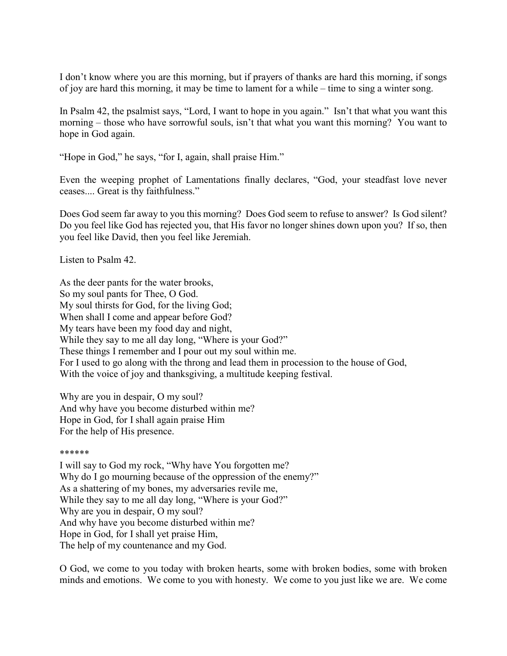I don't know where you are this morning, but if prayers of thanks are hard this morning, if songs of joy are hard this morning, it may be time to lament for a while – time to sing a winter song.

In Psalm 42, the psalmist says, "Lord, I want to hope in you again." Isn't that what you want this morning – those who have sorrowful souls, isn't that what you want this morning? You want to hope in God again.

"Hope in God," he says, "for I, again, shall praise Him."

Even the weeping prophet of Lamentations finally declares, "God, your steadfast love never ceases.... Great is thy faithfulness."

Does God seem far away to you this morning? Does God seem to refuse to answer? Is God silent? Do you feel like God has rejected you, that His favor no longer shines down upon you? If so, then you feel like David, then you feel like Jeremiah.

Listen to Psalm 42.

As the deer pants for the water brooks, So my soul pants for Thee, O God. My soul thirsts for God, for the living God; When shall I come and appear before God? My tears have been my food day and night, While they say to me all day long, "Where is your God?" These things I remember and I pour out my soul within me. For I used to go along with the throng and lead them in procession to the house of God, With the voice of joy and thanksgiving, a multitude keeping festival.

Why are you in despair, O my soul? And why have you become disturbed within me? Hope in God, for I shall again praise Him For the help of His presence.

\*\*\*\*\*\*

I will say to God my rock, "Why have You forgotten me? Why do I go mourning because of the oppression of the enemy?" As a shattering of my bones, my adversaries revile me, While they say to me all day long, "Where is your God?" Why are you in despair, O my soul? And why have you become disturbed within me? Hope in God, for I shall yet praise Him, The help of my countenance and my God.

O God, we come to you today with broken hearts, some with broken bodies, some with broken minds and emotions. We come to you with honesty. We come to you just like we are. We come